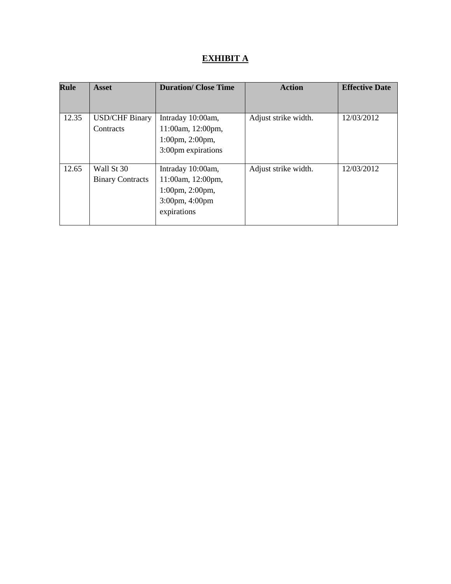# **EXHIBIT A**

| <b>Rule</b> | Asset                   | <b>Duration/ Close Time</b>       | <b>Action</b>        | <b>Effective Date</b> |
|-------------|-------------------------|-----------------------------------|----------------------|-----------------------|
|             |                         |                                   |                      |                       |
| 12.35       | <b>USD/CHF Binary</b>   | Intraday 10:00am,                 | Adjust strike width. | 12/03/2012            |
|             | Contracts               | 11:00am, 12:00pm,                 |                      |                       |
|             |                         | 1:00pm, 2:00pm,                   |                      |                       |
|             |                         | 3:00pm expirations                |                      |                       |
|             |                         |                                   |                      |                       |
| 12.65       | Wall St 30              | Intraday 10:00am,                 | Adjust strike width. | 12/03/2012            |
|             | <b>Binary Contracts</b> | 11:00am, 12:00pm,                 |                      |                       |
|             |                         | $1:00 \text{pm}, 2:00 \text{pm},$ |                      |                       |
|             |                         | 3:00pm, 4:00pm                    |                      |                       |
|             |                         | expirations                       |                      |                       |
|             |                         |                                   |                      |                       |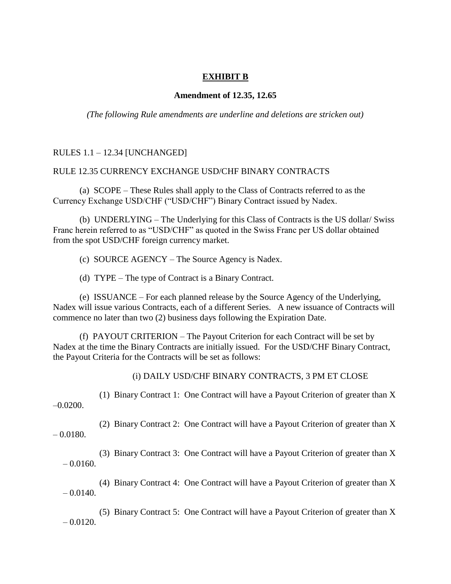## **EXHIBIT B**

#### **Amendment of 12.35, 12.65**

*(The following Rule amendments are underline and deletions are stricken out)*

## RULES 1.1 – 12.34 [UNCHANGED]

#### RULE 12.35 CURRENCY EXCHANGE USD/CHF BINARY CONTRACTS

(a) SCOPE – These Rules shall apply to the Class of Contracts referred to as the Currency Exchange USD/CHF ("USD/CHF") Binary Contract issued by Nadex.

(b) UNDERLYING – The Underlying for this Class of Contracts is the US dollar/ Swiss Franc herein referred to as "USD/CHF" as quoted in the Swiss Franc per US dollar obtained from the spot USD/CHF foreign currency market.

(c) SOURCE AGENCY – The Source Agency is Nadex.

(d) TYPE – The type of Contract is a Binary Contract.

(e) ISSUANCE – For each planned release by the Source Agency of the Underlying, Nadex will issue various Contracts, each of a different Series. A new issuance of Contracts will commence no later than two (2) business days following the Expiration Date.

(f) PAYOUT CRITERION – The Payout Criterion for each Contract will be set by Nadex at the time the Binary Contracts are initially issued. For the USD/CHF Binary Contract, the Payout Criteria for the Contracts will be set as follows:

(i) DAILY USD/CHF BINARY CONTRACTS, 3 PM ET CLOSE

(1) Binary Contract 1: One Contract will have a Payout Criterion of greater than X  $-0.0200$ .

(2) Binary Contract 2: One Contract will have a Payout Criterion of greater than X  $-0.0180.$ 

(3) Binary Contract 3: One Contract will have a Payout Criterion of greater than X  $-0.0160.$ 

(4) Binary Contract 4: One Contract will have a Payout Criterion of greater than X  $-0.0140$ .

(5) Binary Contract 5: One Contract will have a Payout Criterion of greater than X  $-0.0120$ .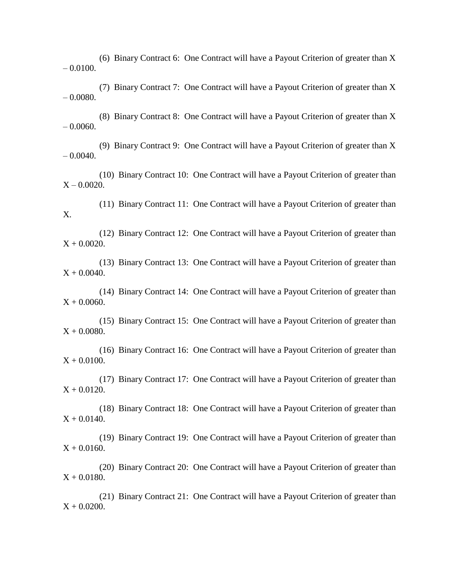(6) Binary Contract 6: One Contract will have a Payout Criterion of greater than X  $- 0.0100.$ 

(7) Binary Contract 7: One Contract will have a Payout Criterion of greater than X – 0.0080.

(8) Binary Contract 8: One Contract will have a Payout Criterion of greater than X  $-0.0060$ .

(9) Binary Contract 9: One Contract will have a Payout Criterion of greater than X  $- 0.0040.$ 

(10) Binary Contract 10: One Contract will have a Payout Criterion of greater than  $X - 0.0020$ .

(11) Binary Contract 11: One Contract will have a Payout Criterion of greater than X.

(12) Binary Contract 12: One Contract will have a Payout Criterion of greater than  $X + 0.0020$ .

(13) Binary Contract 13: One Contract will have a Payout Criterion of greater than  $X + 0.0040.$ 

(14) Binary Contract 14: One Contract will have a Payout Criterion of greater than  $X + 0.0060$ .

(15) Binary Contract 15: One Contract will have a Payout Criterion of greater than  $X + 0.0080.$ 

(16) Binary Contract 16: One Contract will have a Payout Criterion of greater than  $X + 0.0100$ .

(17) Binary Contract 17: One Contract will have a Payout Criterion of greater than  $X + 0.0120$ .

(18) Binary Contract 18: One Contract will have a Payout Criterion of greater than  $X + 0.0140.$ 

(19) Binary Contract 19: One Contract will have a Payout Criterion of greater than  $X + 0.0160$ .

(20) Binary Contract 20: One Contract will have a Payout Criterion of greater than  $X + 0.0180.$ 

(21) Binary Contract 21: One Contract will have a Payout Criterion of greater than  $X + 0.0200$ .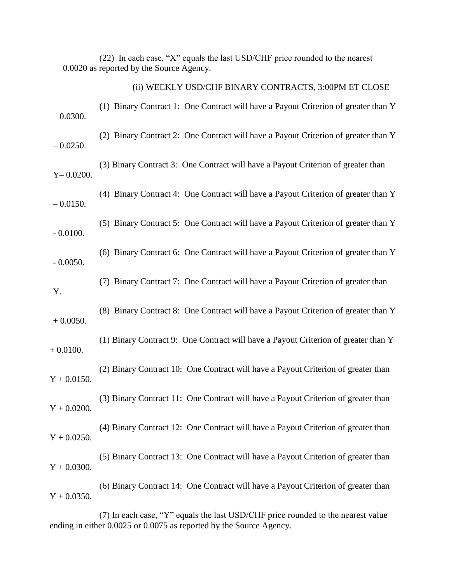|                | (22) In each case, "X" equals the last USD/CHF price rounded to the nearest<br>0.0020 as reported by the Source Agency. |
|----------------|-------------------------------------------------------------------------------------------------------------------------|
|                | (ii) WEEKLY USD/CHF BINARY CONTRACTS, 3:00PM ET CLOSE                                                                   |
| $-0.0300.$     | (1) Binary Contract 1: One Contract will have a Payout Criterion of greater than Y                                      |
| $-0.0250.$     | (2) Binary Contract 2: One Contract will have a Payout Criterion of greater than Y                                      |
| $Y - 0.0200$ . | (3) Binary Contract 3: One Contract will have a Payout Criterion of greater than                                        |
| $-0.0150.$     | (4) Binary Contract 4: One Contract will have a Payout Criterion of greater than Y                                      |
| $-0.0100.$     | (5) Binary Contract 5: One Contract will have a Payout Criterion of greater than Y                                      |
| $-0.0050.$     | (6) Binary Contract 6: One Contract will have a Payout Criterion of greater than Y                                      |
| Y.             | (7) Binary Contract 7: One Contract will have a Payout Criterion of greater than                                        |
| $+0.0050.$     | (8) Binary Contract 8: One Contract will have a Payout Criterion of greater than Y                                      |
| $+0.0100.$     | (1) Binary Contract 9: One Contract will have a Payout Criterion of greater than Y                                      |
| $Y + 0.0150$ . | (2) Binary Contract 10: One Contract will have a Payout Criterion of greater than                                       |
| $Y + 0.0200$ . | (3) Binary Contract 11: One Contract will have a Payout Criterion of greater than                                       |
| $Y + 0.0250.$  | (4) Binary Contract 12: One Contract will have a Payout Criterion of greater than                                       |
| $Y + 0.0300.$  | (5) Binary Contract 13: One Contract will have a Payout Criterion of greater than                                       |
| $Y + 0.0350.$  | (6) Binary Contract 14: One Contract will have a Payout Criterion of greater than                                       |
|                |                                                                                                                         |

(7) In each case, "Y" equals the last USD/CHF price rounded to the nearest value ending in either 0.0025 or 0.0075 as reported by the Source Agency.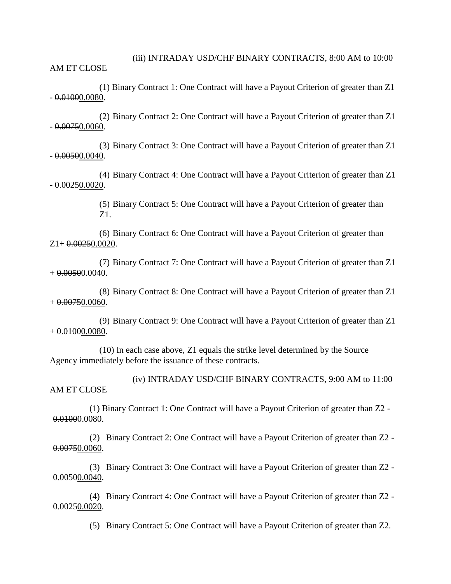(iii) INTRADAY USD/CHF BINARY CONTRACTS, 8:00 AM to 10:00 AM ET CLOSE

(1) Binary Contract 1: One Contract will have a Payout Criterion of greater than Z1  $-0.01000.0080.$ 

(2) Binary Contract 2: One Contract will have a Payout Criterion of greater than Z1  $-0.00750.0060$ .

(3) Binary Contract 3: One Contract will have a Payout Criterion of greater than Z1  $-0.00500.0040$ .

(4) Binary Contract 4: One Contract will have a Payout Criterion of greater than Z1  $-0.00250.0020$ .

> (5) Binary Contract 5: One Contract will have a Payout Criterion of greater than Z1.

(6) Binary Contract 6: One Contract will have a Payout Criterion of greater than  $Z1+0.00250.0020$ .

(7) Binary Contract 7: One Contract will have a Payout Criterion of greater than Z1  $+ 0.00500.0040.$ 

(8) Binary Contract 8: One Contract will have a Payout Criterion of greater than Z1  $+ 0.00750.0060.$ 

(9) Binary Contract 9: One Contract will have a Payout Criterion of greater than Z1  $+ 0.01000.0080.$ 

(10) In each case above, Z1 equals the strike level determined by the Source Agency immediately before the issuance of these contracts.

(iv) INTRADAY USD/CHF BINARY CONTRACTS, 9:00 AM to 11:00 AM ET CLOSE

(1) Binary Contract 1: One Contract will have a Payout Criterion of greater than Z2 - 0.01000.0080.

(2) Binary Contract 2: One Contract will have a Payout Criterion of greater than Z2 - 0.00750.0060.

(3) Binary Contract 3: One Contract will have a Payout Criterion of greater than Z2 - 0.00500.0040.

(4) Binary Contract 4: One Contract will have a Payout Criterion of greater than Z2 - 0.00250.0020.

(5) Binary Contract 5: One Contract will have a Payout Criterion of greater than Z2.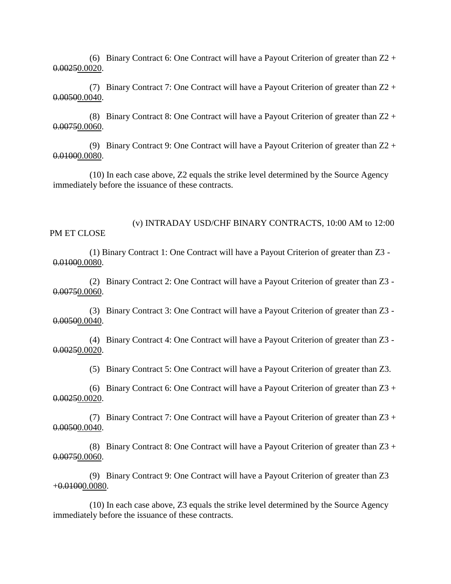(6) Binary Contract 6: One Contract will have a Payout Criterion of greater than  $Z2 +$ 0.00250.0020.

(7) Binary Contract 7: One Contract will have a Payout Criterion of greater than  $Z_2$  + 0.00500.0040.

(8) Binary Contract 8: One Contract will have a Payout Criterion of greater than  $Z2 +$ 0.00750.0060.

(9) Binary Contract 9: One Contract will have a Payout Criterion of greater than Z2 + 0.01000.0080.

(10) In each case above, Z2 equals the strike level determined by the Source Agency immediately before the issuance of these contracts.

(v) INTRADAY USD/CHF BINARY CONTRACTS, 10:00 AM to 12:00 PM ET CLOSE

(1) Binary Contract 1: One Contract will have a Payout Criterion of greater than Z3 - 0.01000.0080.

(2) Binary Contract 2: One Contract will have a Payout Criterion of greater than Z3 - 0.00750.0060.

(3) Binary Contract 3: One Contract will have a Payout Criterion of greater than Z3 - 0.00500.0040.

(4) Binary Contract 4: One Contract will have a Payout Criterion of greater than Z3 -  $0.00250.0020$ .

(5) Binary Contract 5: One Contract will have a Payout Criterion of greater than Z3.

(6) Binary Contract 6: One Contract will have a Payout Criterion of greater than  $Z3 +$ 0.00250.0020.

(7) Binary Contract 7: One Contract will have a Payout Criterion of greater than Z3 + 0.00500.0040.

(8) Binary Contract 8: One Contract will have a Payout Criterion of greater than  $Z3 +$ 0.00750.0060.

(9) Binary Contract 9: One Contract will have a Payout Criterion of greater than Z3 +0.01000.0080.

(10) In each case above, Z3 equals the strike level determined by the Source Agency immediately before the issuance of these contracts.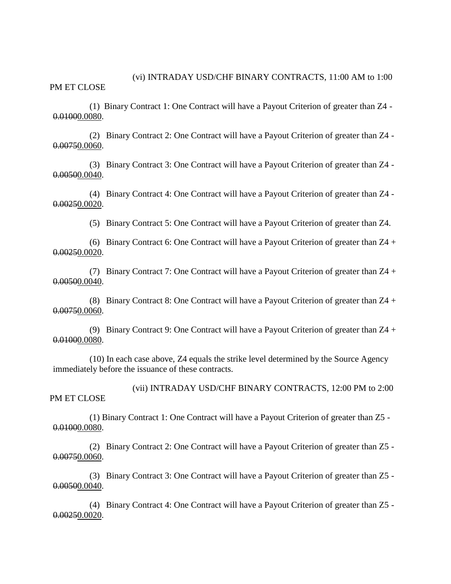PM ET CLOSE

(1) Binary Contract 1: One Contract will have a Payout Criterion of greater than Z4 - 0.01000.0080.

(2) Binary Contract 2: One Contract will have a Payout Criterion of greater than Z4 - 0.00750.0060.

(3) Binary Contract 3: One Contract will have a Payout Criterion of greater than Z4 - 0.00500.0040.

(4) Binary Contract 4: One Contract will have a Payout Criterion of greater than Z4 - 0.00250.0020.

(5) Binary Contract 5: One Contract will have a Payout Criterion of greater than Z4.

(6) Binary Contract 6: One Contract will have a Payout Criterion of greater than Z4 + 0.00250.0020.

(7) Binary Contract 7: One Contract will have a Payout Criterion of greater than Z4 + 0.00500.0040.

(8) Binary Contract 8: One Contract will have a Payout Criterion of greater than Z4 + 0.00750.0060.

(9) Binary Contract 9: One Contract will have a Payout Criterion of greater than Z4 + 0.01000.0080.

(10) In each case above, Z4 equals the strike level determined by the Source Agency immediately before the issuance of these contracts.

(vii) INTRADAY USD/CHF BINARY CONTRACTS, 12:00 PM to 2:00 PM ET CLOSE

(1) Binary Contract 1: One Contract will have a Payout Criterion of greater than Z5 - 0.01000.0080.

(2) Binary Contract 2: One Contract will have a Payout Criterion of greater than Z5 - 0.00750.0060.

(3) Binary Contract 3: One Contract will have a Payout Criterion of greater than Z5 - 0.00500.0040.

(4) Binary Contract 4: One Contract will have a Payout Criterion of greater than Z5 - 0.00250.0020.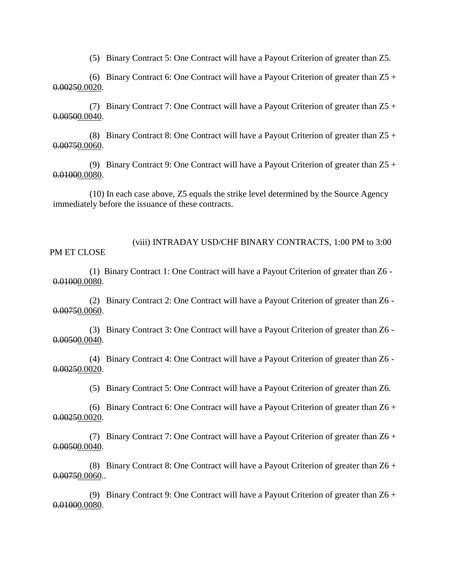(5) Binary Contract 5: One Contract will have a Payout Criterion of greater than Z5.

(6) Binary Contract 6: One Contract will have a Payout Criterion of greater than  $Z_5$  + 0.00250.0020.

(7) Binary Contract 7: One Contract will have a Payout Criterion of greater than Z5 + 0.00500.0040.

(8) Binary Contract 8: One Contract will have a Payout Criterion of greater than  $Z_5$  + 0.00750.0060.

(9) Binary Contract 9: One Contract will have a Payout Criterion of greater than  $Z5 +$ 0.01000.0080.

(10) In each case above, Z5 equals the strike level determined by the Source Agency immediately before the issuance of these contracts.

(viii) INTRADAY USD/CHF BINARY CONTRACTS, 1:00 PM to 3:00 PM ET CLOSE

(1) Binary Contract 1: One Contract will have a Payout Criterion of greater than Z6 - 0.01000.0080.

(2) Binary Contract 2: One Contract will have a Payout Criterion of greater than Z6 - 0.00750.0060.

(3) Binary Contract 3: One Contract will have a Payout Criterion of greater than Z6 - 0.00500.0040.

(4) Binary Contract 4: One Contract will have a Payout Criterion of greater than Z6 - 0.00250.0020.

(5) Binary Contract 5: One Contract will have a Payout Criterion of greater than Z6.

(6) Binary Contract 6: One Contract will have a Payout Criterion of greater than  $Z6 +$ 0.00250.0020.

(7) Binary Contract 7: One Contract will have a Payout Criterion of greater than Z6 + 0.00500.0040.

(8) Binary Contract 8: One Contract will have a Payout Criterion of greater than Z6 + 0.00750.0060..

(9) Binary Contract 9: One Contract will have a Payout Criterion of greater than Z6 + 0.01000.0080.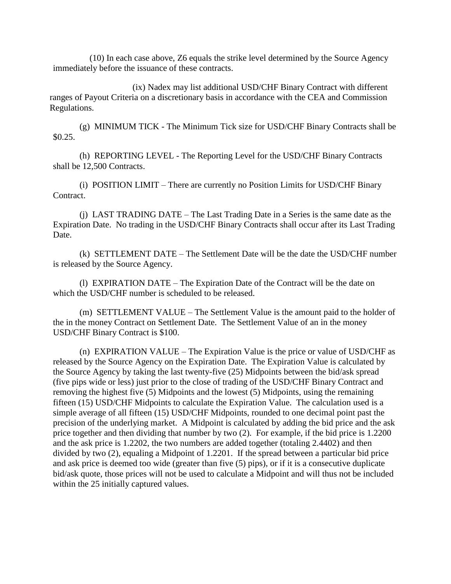(10) In each case above, Z6 equals the strike level determined by the Source Agency immediately before the issuance of these contracts.

(ix) Nadex may list additional USD/CHF Binary Contract with different ranges of Payout Criteria on a discretionary basis in accordance with the CEA and Commission Regulations.

(g) MINIMUM TICK - The Minimum Tick size for USD/CHF Binary Contracts shall be \$0.25.

(h) REPORTING LEVEL - The Reporting Level for the USD/CHF Binary Contracts shall be 12,500 Contracts.

(i) POSITION LIMIT – There are currently no Position Limits for USD/CHF Binary Contract.

(j) LAST TRADING DATE – The Last Trading Date in a Series is the same date as the Expiration Date. No trading in the USD/CHF Binary Contracts shall occur after its Last Trading Date.

(k) SETTLEMENT DATE – The Settlement Date will be the date the USD/CHF number is released by the Source Agency.

(l) EXPIRATION DATE – The Expiration Date of the Contract will be the date on which the USD/CHF number is scheduled to be released.

(m) SETTLEMENT VALUE – The Settlement Value is the amount paid to the holder of the in the money Contract on Settlement Date. The Settlement Value of an in the money USD/CHF Binary Contract is \$100.

(n) EXPIRATION VALUE – The Expiration Value is the price or value of USD/CHF as released by the Source Agency on the Expiration Date. The Expiration Value is calculated by the Source Agency by taking the last twenty-five (25) Midpoints between the bid/ask spread (five pips wide or less) just prior to the close of trading of the USD/CHF Binary Contract and removing the highest five (5) Midpoints and the lowest (5) Midpoints, using the remaining fifteen (15) USD/CHF Midpoints to calculate the Expiration Value. The calculation used is a simple average of all fifteen (15) USD/CHF Midpoints, rounded to one decimal point past the precision of the underlying market. A Midpoint is calculated by adding the bid price and the ask price together and then dividing that number by two (2). For example, if the bid price is 1.2200 and the ask price is 1.2202, the two numbers are added together (totaling 2.4402) and then divided by two (2), equaling a Midpoint of 1.2201. If the spread between a particular bid price and ask price is deemed too wide (greater than five (5) pips), or if it is a consecutive duplicate bid/ask quote, those prices will not be used to calculate a Midpoint and will thus not be included within the 25 initially captured values.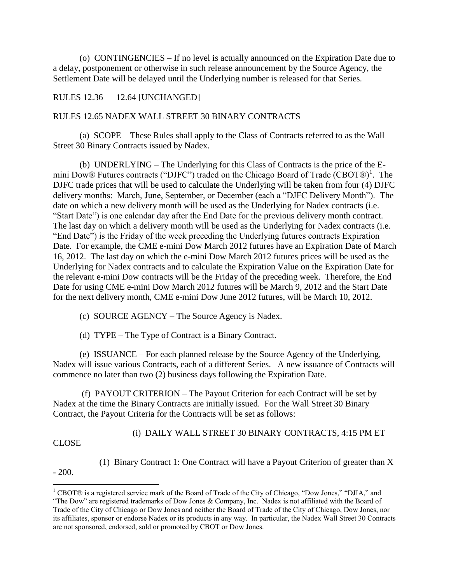(o) CONTINGENCIES – If no level is actually announced on the Expiration Date due to a delay, postponement or otherwise in such release announcement by the Source Agency, the Settlement Date will be delayed until the Underlying number is released for that Series.

## RULES 12.36 – 12.64 [UNCHANGED]

## RULES 12.65 NADEX WALL STREET 30 BINARY CONTRACTS

(a) SCOPE – These Rules shall apply to the Class of Contracts referred to as the Wall Street 30 Binary Contracts issued by Nadex.

(b) UNDERLYING – The Underlying for this Class of Contracts is the price of the Emini Dow® Futures contracts ("DJFC") traded on the Chicago Board of Trade (CBOT®)<sup>1</sup>. The DJFC trade prices that will be used to calculate the Underlying will be taken from four (4) DJFC delivery months: March, June, September, or December (each a "DJFC Delivery Month"). The date on which a new delivery month will be used as the Underlying for Nadex contracts (i.e. "Start Date") is one calendar day after the End Date for the previous delivery month contract. The last day on which a delivery month will be used as the Underlying for Nadex contracts (i.e. "End Date") is the Friday of the week preceding the Underlying futures contracts Expiration Date. For example, the CME e-mini Dow March 2012 futures have an Expiration Date of March 16, 2012. The last day on which the e-mini Dow March 2012 futures prices will be used as the Underlying for Nadex contracts and to calculate the Expiration Value on the Expiration Date for the relevant e-mini Dow contracts will be the Friday of the preceding week. Therefore, the End Date for using CME e-mini Dow March 2012 futures will be March 9, 2012 and the Start Date for the next delivery month, CME e-mini Dow June 2012 futures, will be March 10, 2012.

- (c) SOURCE AGENCY The Source Agency is Nadex.
- (d) TYPE The Type of Contract is a Binary Contract.

 (e) ISSUANCE – For each planned release by the Source Agency of the Underlying, Nadex will issue various Contracts, each of a different Series. A new issuance of Contracts will commence no later than two (2) business days following the Expiration Date.

 (f) PAYOUT CRITERION – The Payout Criterion for each Contract will be set by Nadex at the time the Binary Contracts are initially issued. For the Wall Street 30 Binary Contract, the Payout Criteria for the Contracts will be set as follows:

(i) DAILY WALL STREET 30 BINARY CONTRACTS, 4:15 PM ET

CLOSE

(1) Binary Contract 1: One Contract will have a Payout Criterion of greater than X

 $-200.$ 

 $\overline{a}$ 

<sup>&</sup>lt;sup>1</sup> CBOT® is a registered service mark of the Board of Trade of the City of Chicago, "Dow Jones," "DJIA," and "The Dow" are registered trademarks of Dow Jones & Company, Inc. Nadex is not affiliated with the Board of Trade of the City of Chicago or Dow Jones and neither the Board of Trade of the City of Chicago, Dow Jones, nor its affiliates, sponsor or endorse Nadex or its products in any way. In particular, the Nadex Wall Street 30 Contracts are not sponsored, endorsed, sold or promoted by CBOT or Dow Jones.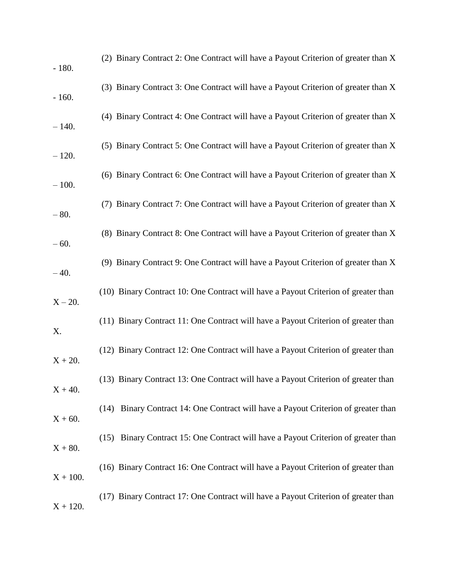| $-180.$    | (2) Binary Contract 2: One Contract will have a Payout Criterion of greater than X    |
|------------|---------------------------------------------------------------------------------------|
| $-160.$    | (3) Binary Contract 3: One Contract will have a Payout Criterion of greater than X    |
| $-140.$    | (4) Binary Contract 4: One Contract will have a Payout Criterion of greater than X    |
| $-120.$    | (5) Binary Contract 5: One Contract will have a Payout Criterion of greater than X    |
| $-100.$    | (6) Binary Contract 6: One Contract will have a Payout Criterion of greater than X    |
| $-80.$     | (7) Binary Contract 7: One Contract will have a Payout Criterion of greater than X    |
| $-60.$     | (8) Binary Contract 8: One Contract will have a Payout Criterion of greater than X    |
| $-40.$     | (9) Binary Contract 9: One Contract will have a Payout Criterion of greater than X    |
| $X - 20.$  | (10) Binary Contract 10: One Contract will have a Payout Criterion of greater than    |
| X.         | (11) Binary Contract 11: One Contract will have a Payout Criterion of greater than    |
| $X + 20.$  | (12) Binary Contract 12: One Contract will have a Payout Criterion of greater than    |
| $X + 40.$  | (13) Binary Contract 13: One Contract will have a Payout Criterion of greater than    |
| $X + 60.$  | Binary Contract 14: One Contract will have a Payout Criterion of greater than<br>(14) |
| $X + 80.$  | (15) Binary Contract 15: One Contract will have a Payout Criterion of greater than    |
| $X + 100.$ | (16) Binary Contract 16: One Contract will have a Payout Criterion of greater than    |
| $X + 120.$ | (17) Binary Contract 17: One Contract will have a Payout Criterion of greater than    |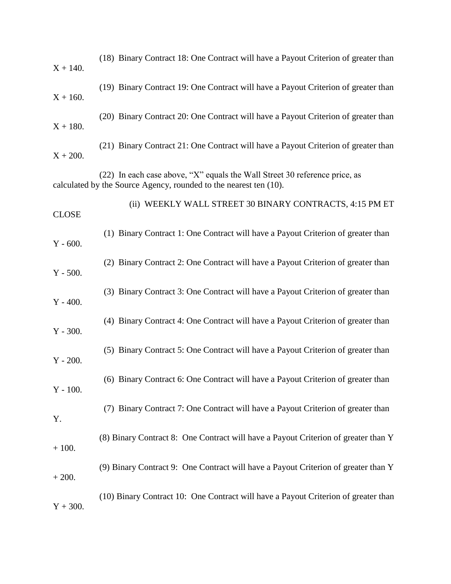| $X + 140.$   | (18) Binary Contract 18: One Contract will have a Payout Criterion of greater than                                                              |
|--------------|-------------------------------------------------------------------------------------------------------------------------------------------------|
| $X + 160.$   | (19) Binary Contract 19: One Contract will have a Payout Criterion of greater than                                                              |
| $X + 180.$   | (20) Binary Contract 20: One Contract will have a Payout Criterion of greater than                                                              |
| $X + 200.$   | (21) Binary Contract 21: One Contract will have a Payout Criterion of greater than                                                              |
|              | (22) In each case above, "X" equals the Wall Street 30 reference price, as<br>calculated by the Source Agency, rounded to the nearest ten (10). |
| <b>CLOSE</b> | (ii) WEEKLY WALL STREET 30 BINARY CONTRACTS, 4:15 PM ET                                                                                         |
| $Y - 600.$   | (1) Binary Contract 1: One Contract will have a Payout Criterion of greater than                                                                |
| $Y - 500.$   | (2) Binary Contract 2: One Contract will have a Payout Criterion of greater than                                                                |
| $Y - 400.$   | (3) Binary Contract 3: One Contract will have a Payout Criterion of greater than                                                                |
| $Y - 300.$   | (4) Binary Contract 4: One Contract will have a Payout Criterion of greater than                                                                |
| $Y - 200.$   | (5) Binary Contract 5: One Contract will have a Payout Criterion of greater than                                                                |
| $Y - 100.$   | (6) Binary Contract 6: One Contract will have a Payout Criterion of greater than                                                                |
| Y.           | (7) Binary Contract 7: One Contract will have a Payout Criterion of greater than                                                                |
| $+100.$      | (8) Binary Contract 8: One Contract will have a Payout Criterion of greater than Y                                                              |
| $+200.$      | (9) Binary Contract 9: One Contract will have a Payout Criterion of greater than Y                                                              |
| $Y + 300.$   | (10) Binary Contract 10: One Contract will have a Payout Criterion of greater than                                                              |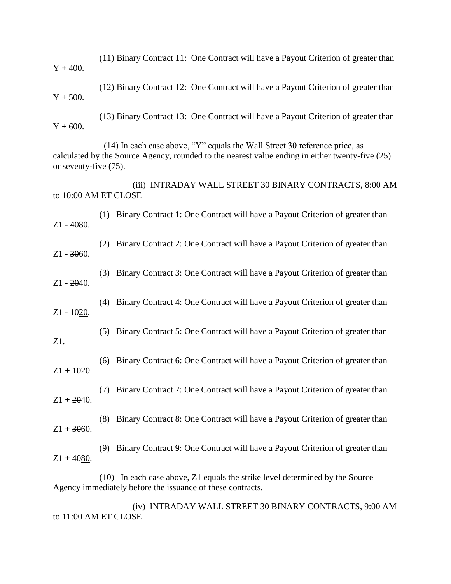(11) Binary Contract 11: One Contract will have a Payout Criterion of greater than  $Y + 400$ .

(12) Binary Contract 12: One Contract will have a Payout Criterion of greater than  $Y + 500.$ 

(13) Binary Contract 13: One Contract will have a Payout Criterion of greater than  $Y + 600.$ 

 (14) In each case above, "Y" equals the Wall Street 30 reference price, as calculated by the Source Agency, rounded to the nearest value ending in either twenty-five (25) or seventy-five (75).

 (iii) INTRADAY WALL STREET 30 BINARY CONTRACTS, 8:00 AM to 10:00 AM ET CLOSE

 (1) Binary Contract 1: One Contract will have a Payout Criterion of greater than Z1 - 4080.

 (2) Binary Contract 2: One Contract will have a Payout Criterion of greater than  $Z1 - 3060$ .

 (3) Binary Contract 3: One Contract will have a Payout Criterion of greater than Z1 - 2040.

 (4) Binary Contract 4: One Contract will have a Payout Criterion of greater than  $Z1 - 1020$ .

(5) Binary Contract 5: One Contract will have a Payout Criterion of greater than

 (6) Binary Contract 6: One Contract will have a Payout Criterion of greater than  $Z1 + 1020$ .

Z1.

 (7) Binary Contract 7: One Contract will have a Payout Criterion of greater than  $Z1 + 2040.$ 

 (8) Binary Contract 8: One Contract will have a Payout Criterion of greater than  $Z1 + 3060$ .

 (9) Binary Contract 9: One Contract will have a Payout Criterion of greater than  $Z1 + 4080$ .

(10) In each case above, Z1 equals the strike level determined by the Source Agency immediately before the issuance of these contracts.

 (iv) INTRADAY WALL STREET 30 BINARY CONTRACTS, 9:00 AM to 11:00 AM ET CLOSE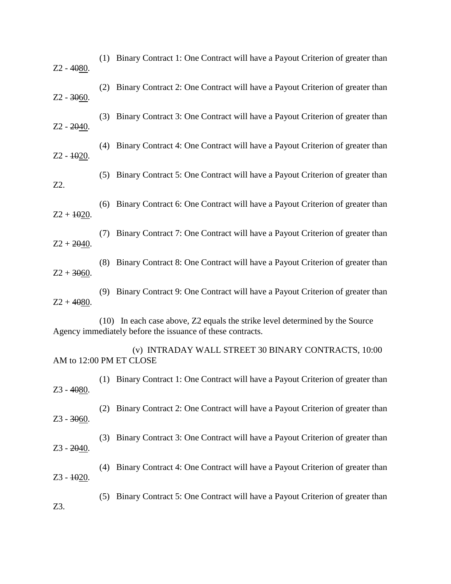| Z2 - 4080.    |     | (1) Binary Contract 1: One Contract will have a Payout Criterion of greater than                                                           |
|---------------|-----|--------------------------------------------------------------------------------------------------------------------------------------------|
| $Z2 - 3060$ . | (2) | Binary Contract 2: One Contract will have a Payout Criterion of greater than                                                               |
| $Z2 - 2040$ . | (3) | Binary Contract 3: One Contract will have a Payout Criterion of greater than                                                               |
| $Z2 - 1020$ . | (4) | Binary Contract 4: One Contract will have a Payout Criterion of greater than                                                               |
| Z2.           | (5) | Binary Contract 5: One Contract will have a Payout Criterion of greater than                                                               |
| $Z2 + 1020$ . | (6) | Binary Contract 6: One Contract will have a Payout Criterion of greater than                                                               |
| $Z2 + 2040$ . | (7) | Binary Contract 7: One Contract will have a Payout Criterion of greater than                                                               |
| $Z2 + 3060$ . | (8) | Binary Contract 8: One Contract will have a Payout Criterion of greater than                                                               |
| $Z2 + 4080.$  | (9) | Binary Contract 9: One Contract will have a Payout Criterion of greater than                                                               |
|               |     | (10) In each case above, Z2 equals the strike level determined by the Source<br>Agency immediately before the issuance of these contracts. |
|               |     | (v) INTRADAY WALL STREET 30 BINARY CONTRACTS, 10:00<br>AM to 12:00 PM ET CLOSE                                                             |
| Z3 - 4080.    |     | (1) Binary Contract 1: One Contract will have a Payout Criterion of greater than                                                           |
| $Z3 - 3060$ . | (2) | Binary Contract 2: One Contract will have a Payout Criterion of greater than                                                               |
| $Z3 - 2040.$  | (3) | Binary Contract 3: One Contract will have a Payout Criterion of greater than                                                               |
| $Z3 - 1020$ . | (4) | Binary Contract 4: One Contract will have a Payout Criterion of greater than                                                               |
| Z3.           | (5) | Binary Contract 5: One Contract will have a Payout Criterion of greater than                                                               |
|               |     |                                                                                                                                            |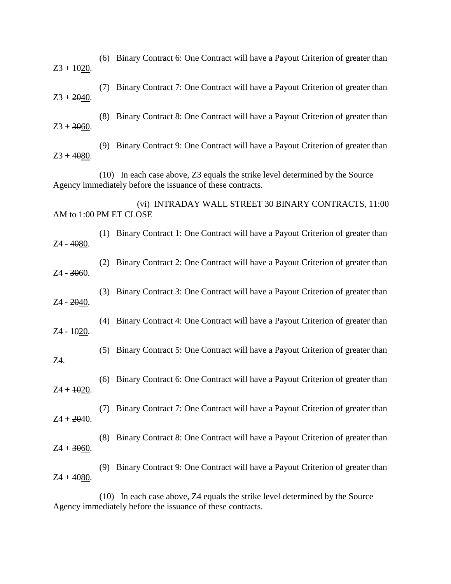| $Z_3 + 1020$ .         |     | (6) Binary Contract 6: One Contract will have a Payout Criterion of greater than                                                           |
|------------------------|-----|--------------------------------------------------------------------------------------------------------------------------------------------|
| $Z3 + 2040.$           | (7) | Binary Contract 7: One Contract will have a Payout Criterion of greater than                                                               |
| $Z3 + 3060$ .          | (8) | Binary Contract 8: One Contract will have a Payout Criterion of greater than                                                               |
| $Z3 + 4080.$           | (9) | Binary Contract 9: One Contract will have a Payout Criterion of greater than                                                               |
|                        |     | (10) In each case above, Z3 equals the strike level determined by the Source<br>Agency immediately before the issuance of these contracts. |
| AM to 1:00 PM ET CLOSE |     | (vi) INTRADAY WALL STREET 30 BINARY CONTRACTS, 11:00                                                                                       |
| Z4 - 4080.             | (1) | Binary Contract 1: One Contract will have a Payout Criterion of greater than                                                               |
| $Z4 - 3060.$           | (2) | Binary Contract 2: One Contract will have a Payout Criterion of greater than                                                               |
| Z4 - 2040.             | (3) | Binary Contract 3: One Contract will have a Payout Criterion of greater than                                                               |
| Z4 - 1020.             | (4) | Binary Contract 4: One Contract will have a Payout Criterion of greater than                                                               |
| Z4.                    | (5) | Binary Contract 5: One Contract will have a Payout Criterion of greater than                                                               |
| $Z4 + 1020$ .          |     | (6) Binary Contract 6: One Contract will have a Payout Criterion of greater than                                                           |
| $Z4 + 2040.$           | (7) | Binary Contract 7: One Contract will have a Payout Criterion of greater than                                                               |
| $Z4 + 3060$ .          | (8) | Binary Contract 8: One Contract will have a Payout Criterion of greater than                                                               |
| $Z4 + 4080.$           | (9) | Binary Contract 9: One Contract will have a Payout Criterion of greater than                                                               |
|                        |     |                                                                                                                                            |

(10) In each case above, Z4 equals the strike level determined by the Source Agency immediately before the issuance of these contracts.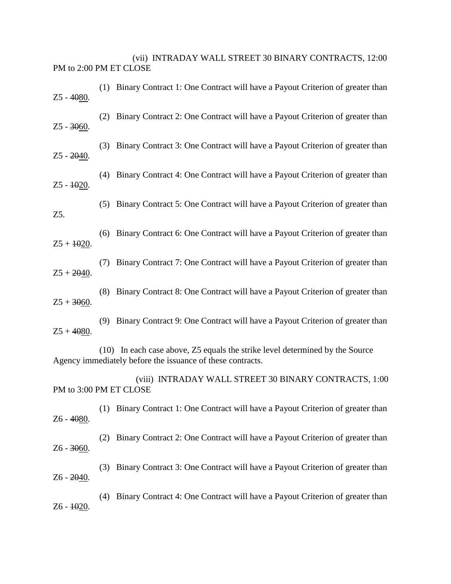(vii) INTRADAY WALL STREET 30 BINARY CONTRACTS, 12:00 PM to 2:00 PM ET CLOSE

| $Z5 - 4080.$           |     | (1) Binary Contract 1: One Contract will have a Payout Criterion of greater than                                                           |
|------------------------|-----|--------------------------------------------------------------------------------------------------------------------------------------------|
| $Z5 - 3060$ .          | (2) | Binary Contract 2: One Contract will have a Payout Criterion of greater than                                                               |
| $Z5 - 2040.$           | (3) | Binary Contract 3: One Contract will have a Payout Criterion of greater than                                                               |
| $Z5 - 1020$ .          |     | (4) Binary Contract 4: One Contract will have a Payout Criterion of greater than                                                           |
| Z5.                    |     | (5) Binary Contract 5: One Contract will have a Payout Criterion of greater than                                                           |
| $Z5 + 1020$ .          | (6) | Binary Contract 6: One Contract will have a Payout Criterion of greater than                                                               |
| $Z5 + 2040$ .          | (7) | Binary Contract 7: One Contract will have a Payout Criterion of greater than                                                               |
| $Z5 + 3060$ .          | (8) | Binary Contract 8: One Contract will have a Payout Criterion of greater than                                                               |
| $Z5 + 4080.$           |     | (9) Binary Contract 9: One Contract will have a Payout Criterion of greater than                                                           |
|                        |     | (10) In each case above, Z5 equals the strike level determined by the Source<br>Agency immediately before the issuance of these contracts. |
| PM to 3:00 PM ET CLOSE |     | (viii) INTRADAY WALL STREET 30 BINARY CONTRACTS, 1:00                                                                                      |
| Z6 - 4080.             |     | (1) Binary Contract 1: One Contract will have a Payout Criterion of greater than                                                           |
| Z6 - 3060.             | (2) | Binary Contract 2: One Contract will have a Payout Criterion of greater than                                                               |
| Z6 - 2040.             | (3) | Binary Contract 3: One Contract will have a Payout Criterion of greater than                                                               |
| $Z6 - 1020$ .          | (4) | Binary Contract 4: One Contract will have a Payout Criterion of greater than                                                               |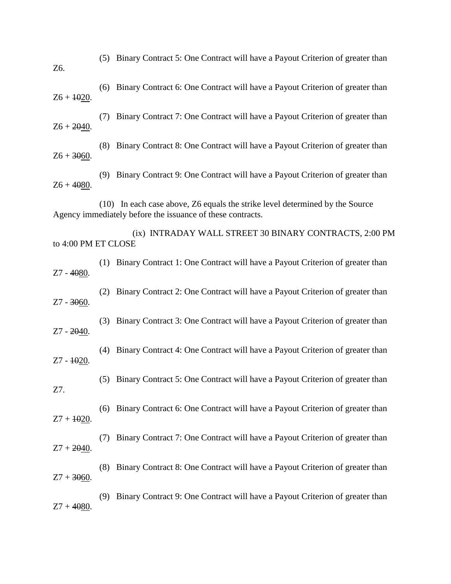| Z6.                 |     | (5) Binary Contract 5: One Contract will have a Payout Criterion of greater than                                                           |
|---------------------|-----|--------------------------------------------------------------------------------------------------------------------------------------------|
| $Z6 + 1020.$        |     | (6) Binary Contract 6: One Contract will have a Payout Criterion of greater than                                                           |
| $Z6 + 2040.$        | (7) | Binary Contract 7: One Contract will have a Payout Criterion of greater than                                                               |
| $Z6 + 3060.$        |     | (8) Binary Contract 8: One Contract will have a Payout Criterion of greater than                                                           |
| $Z6 + 4080.$        |     | (9) Binary Contract 9: One Contract will have a Payout Criterion of greater than                                                           |
|                     |     | (10) In each case above, Z6 equals the strike level determined by the Source<br>Agency immediately before the issuance of these contracts. |
| to 4:00 PM ET CLOSE |     | (ix) INTRADAY WALL STREET 30 BINARY CONTRACTS, 2:00 PM                                                                                     |
| Z7 - 4080.          |     | (1) Binary Contract 1: One Contract will have a Payout Criterion of greater than                                                           |
| $Z7 - 3060$ .       | (2) | Binary Contract 2: One Contract will have a Payout Criterion of greater than                                                               |
| Z7 - 2040.          | (3) | Binary Contract 3: One Contract will have a Payout Criterion of greater than                                                               |
| $Z7 - 1020$ .       | (4) | Binary Contract 4: One Contract will have a Payout Criterion of greater than                                                               |
| Z7.                 |     | (5) Binary Contract 5: One Contract will have a Payout Criterion of greater than                                                           |
| $Z7 + 1020$ .       | (6) | Binary Contract 6: One Contract will have a Payout Criterion of greater than                                                               |
| $Z7 + 2040$ .       | (7) | Binary Contract 7: One Contract will have a Payout Criterion of greater than                                                               |
| $Z7 + 3060$ .       | (8) | Binary Contract 8: One Contract will have a Payout Criterion of greater than                                                               |
| $Z7 + 4080$ .       | (9) | Binary Contract 9: One Contract will have a Payout Criterion of greater than                                                               |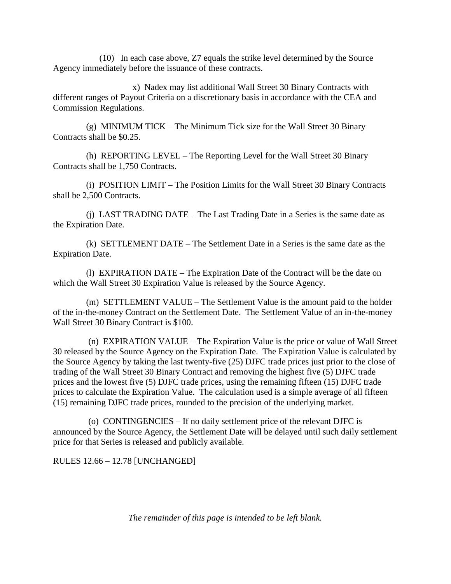(10) In each case above, Z7 equals the strike level determined by the Source Agency immediately before the issuance of these contracts.

 x) Nadex may list additional Wall Street 30 Binary Contracts with different ranges of Payout Criteria on a discretionary basis in accordance with the CEA and Commission Regulations.

 (g) MINIMUM TICK – The Minimum Tick size for the Wall Street 30 Binary Contracts shall be \$0.25.

 (h) REPORTING LEVEL – The Reporting Level for the Wall Street 30 Binary Contracts shall be 1,750 Contracts.

 (i) POSITION LIMIT – The Position Limits for the Wall Street 30 Binary Contracts shall be 2,500 Contracts.

 (j) LAST TRADING DATE – The Last Trading Date in a Series is the same date as the Expiration Date.

 (k) SETTLEMENT DATE – The Settlement Date in a Series is the same date as the Expiration Date.

 (l) EXPIRATION DATE – The Expiration Date of the Contract will be the date on which the Wall Street 30 Expiration Value is released by the Source Agency.

 (m) SETTLEMENT VALUE – The Settlement Value is the amount paid to the holder of the in-the-money Contract on the Settlement Date. The Settlement Value of an in-the-money Wall Street 30 Binary Contract is \$100.

 (n) EXPIRATION VALUE – The Expiration Value is the price or value of Wall Street 30 released by the Source Agency on the Expiration Date. The Expiration Value is calculated by the Source Agency by taking the last twenty-five (25) DJFC trade prices just prior to the close of trading of the Wall Street 30 Binary Contract and removing the highest five (5) DJFC trade prices and the lowest five (5) DJFC trade prices, using the remaining fifteen (15) DJFC trade prices to calculate the Expiration Value. The calculation used is a simple average of all fifteen (15) remaining DJFC trade prices, rounded to the precision of the underlying market.

 (o) CONTINGENCIES – If no daily settlement price of the relevant DJFC is announced by the Source Agency, the Settlement Date will be delayed until such daily settlement price for that Series is released and publicly available.

RULES 12.66 – 12.78 [UNCHANGED]

*The remainder of this page is intended to be left blank.*